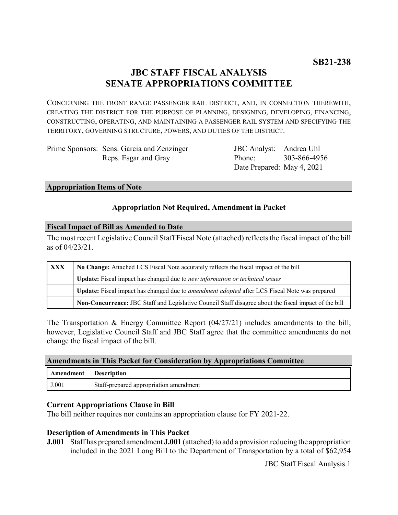## **JBC STAFF FISCAL ANALYSIS SENATE APPROPRIATIONS COMMITTEE**

CONCERNING THE FRONT RANGE PASSENGER RAIL DISTRICT, AND, IN CONNECTION THEREWITH, CREATING THE DISTRICT FOR THE PURPOSE OF PLANNING, DESIGNING, DEVELOPING, FINANCING, CONSTRUCTING, OPERATING, AND MAINTAINING A PASSENGER RAIL SYSTEM AND SPECIFYING THE TERRITORY, GOVERNING STRUCTURE, POWERS, AND DUTIES OF THE DISTRICT.

| Prime Sponsors: Sens. Garcia and Zenzinger |
|--------------------------------------------|
| Reps. Esgar and Gray                       |

JBC Analyst: Andrea Uhl Phone: Date Prepared: May 4, 2021 303-866-4956

#### **Appropriation Items of Note**

### **Appropriation Not Required, Amendment in Packet**

#### **Fiscal Impact of Bill as Amended to Date**

The most recent Legislative Council Staff Fiscal Note (attached) reflects the fiscal impact of the bill as of 04/23/21.

| <b>XXX</b> | No Change: Attached LCS Fiscal Note accurately reflects the fiscal impact of the bill                 |  |  |  |
|------------|-------------------------------------------------------------------------------------------------------|--|--|--|
|            | <b>Update:</b> Fiscal impact has changed due to new information or technical issues                   |  |  |  |
|            | Update: Fiscal impact has changed due to <i>amendment adopted</i> after LCS Fiscal Note was prepared  |  |  |  |
|            | Non-Concurrence: JBC Staff and Legislative Council Staff disagree about the fiscal impact of the bill |  |  |  |

The Transportation & Energy Committee Report (04/27/21) includes amendments to the bill, however, Legislative Council Staff and JBC Staff agree that the committee amendments do not change the fiscal impact of the bill.

| <b>Amendments in This Packet for Consideration by Appropriations Committee</b> |  |  |  |
|--------------------------------------------------------------------------------|--|--|--|
|                                                                                |  |  |  |

| Amendment | <b>Description</b>                     |
|-----------|----------------------------------------|
| J.001     | Staff-prepared appropriation amendment |

#### **Current Appropriations Clause in Bill**

The bill neither requires nor contains an appropriation clause for FY 2021-22.

#### **Description of Amendments in This Packet**

**J.001** Staff has prepared amendment **J.001** (attached) to add a provision reducing the appropriation included in the 2021 Long Bill to the Department of Transportation by a total of \$62,954

JBC Staff Fiscal Analysis 1